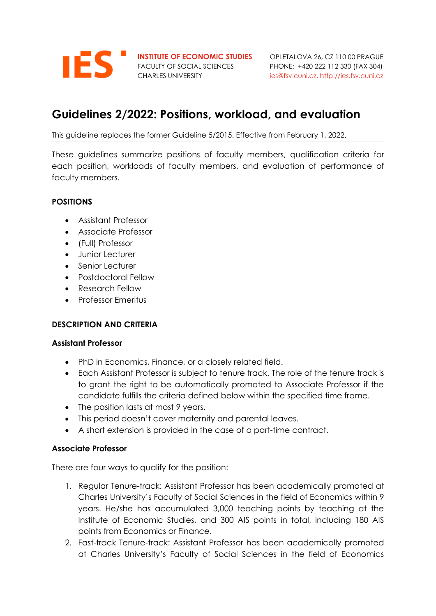

FACULTY OF SOCIAL SCIENCES PHONE: +420 222 112 330 (FAX 304)

**INSTITUTE OF ECONOMIC STUDIES** OPLETALOVA 26, CZ 110 00 PRAGUE CHARLES UNIVERSITY [ies@fsv.cuni.cz,](mailto:ies@fsv.cuni.cz) http://ies.fsv.cuni.cz

# **Guidelines 2/2022: Positions, workload, and evaluation**

This guideline replaces the former Guideline 5/2015. Effective from February 1, 2022.

These guidelines summarize positions of faculty members, qualification criteria for each position, workloads of faculty members, and evaluation of performance of faculty members.

## **POSITIONS**

- Assistant Professor
- Associate Professor
- (Full) Professor
- Junior Lecturer
- Senior Lecturer
- Postdoctoral Fellow
- Research Fellow
- Professor Emeritus

### **DESCRIPTION AND CRITERIA**

### **Assistant Professor**

- PhD in Economics, Finance, or a closely related field.
- Each Assistant Professor is subject to tenure track. The role of the tenure track is to grant the right to be automatically promoted to Associate Professor if the candidate fulfills the criteria defined below within the specified time frame.
- The position lasts at most 9 years.
- This period doesn't cover maternity and parental leaves.
- A short extension is provided in the case of a part-time contract.

### **Associate Professor**

There are four ways to qualify for the position:

- 1. Regular Tenure-track: Assistant Professor has been academically promoted at Charles University's Faculty of Social Sciences in the field of Economics within 9 years. He/she has accumulated 3,000 teaching points by teaching at the Institute of Economic Studies, and 300 AIS points in total, including 180 AIS points from Economics or Finance.
- 2. Fast-track Tenure-track: Assistant Professor has been academically promoted at Charles University's Faculty of Social Sciences in the field of Economics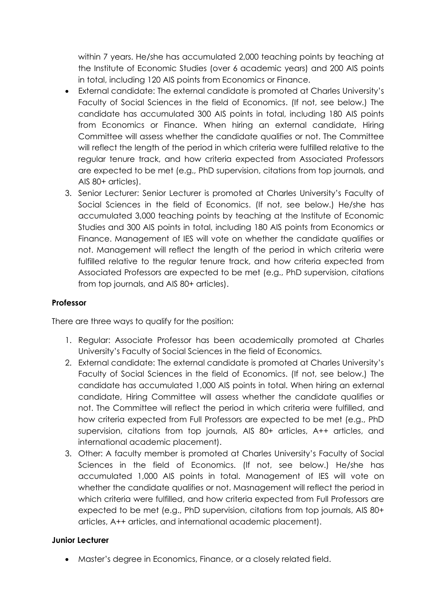within 7 years. He/she has accumulated 2,000 teaching points by teaching at the Institute of Economic Studies (over 6 academic years) and 200 AIS points in total, including 120 AIS points from Economics or Finance.

- External candidate: The external candidate is promoted at Charles University's Faculty of Social Sciences in the field of Economics. (If not, see below.) The candidate has accumulated 300 AIS points in total, including 180 AIS points from Economics or Finance. When hiring an external candidate, Hiring Committee will assess whether the candidate qualifies or not. The Committee will reflect the length of the period in which criteria were fulfilled relative to the regular tenure track, and how criteria expected from Associated Professors are expected to be met (e.g., PhD supervision, citations from top journals, and AIS 80+ articles).
- 3. Senior Lecturer: Senior Lecturer is promoted at Charles University's Faculty of Social Sciences in the field of Economics. (If not, see below.) He/she has accumulated 3,000 teaching points by teaching at the Institute of Economic Studies and 300 AIS points in total, including 180 AIS points from Economics or Finance. Management of IES will vote on whether the candidate qualifies or not. Management will reflect the length of the period in which criteria were fulfilled relative to the regular tenure track, and how criteria expected from Associated Professors are expected to be met (e.g., PhD supervision, citations from top journals, and AIS 80+ articles).

### **Professor**

There are three ways to qualify for the position:

- 1. Regular: Associate Professor has been academically promoted at Charles University's Faculty of Social Sciences in the field of Economics.
- 2. External candidate: The external candidate is promoted at Charles University's Faculty of Social Sciences in the field of Economics. (If not, see below.) The candidate has accumulated 1,000 AIS points in total. When hiring an external candidate, Hiring Committee will assess whether the candidate qualifies or not. The Committee will reflect the period in which criteria were fulfilled, and how criteria expected from Full Professors are expected to be met (e.g., PhD supervision, citations from top journals, AIS 80+ articles, A++ articles, and international academic placement).
- 3. Other: A faculty member is promoted at Charles University's Faculty of Social Sciences in the field of Economics. (If not, see below.) He/she has accumulated 1,000 AIS points in total. Management of IES will vote on whether the candidate qualifies or not. Masnagement will reflect the period in which criteria were fulfilled, and how criteria expected from Full Professors are expected to be met (e.g., PhD supervision, citations from top journals, AIS 80+ articles, A++ articles, and international academic placement).

#### **Junior Lecturer**

• Master's degree in Economics, Finance, or a closely related field.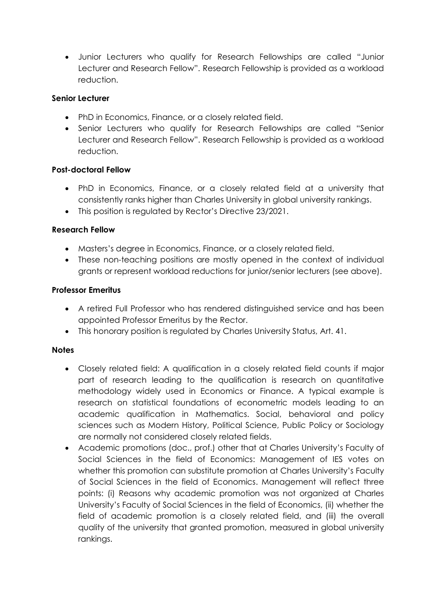• Junior Lecturers who qualify for Research Fellowships are called "Junior Lecturer and Research Fellow". Research Fellowship is provided as a workload reduction.

## **Senior Lecturer**

- PhD in Economics, Finance, or a closely related field.
- Senior Lecturers who qualify for Research Fellowships are called "Senior Lecturer and Research Fellow". Research Fellowship is provided as a workload reduction.

### **Post-doctoral Fellow**

- PhD in Economics, Finance, or a closely related field at a university that consistently ranks higher than Charles University in global university rankings.
- This position is regulated by Rector's Directive 23/2021.

## **Research Fellow**

- Masters's degree in Economics, Finance, or a closely related field.
- These non-teaching positions are mostly opened in the context of individual grants or represent workload reductions for junior/senior lecturers (see above).

### **Professor Emeritus**

- A retired Full Professor who has rendered distinguished service and has been appointed Professor Emeritus by the Rector.
- This honorary position is regulated by Charles University Status, Art. 41.

### **Notes**

- Closely related field: A qualification in a closely related field counts if major part of research leading to the qualification is research on quantitative methodology widely used in Economics or Finance. A typical example is research on statistical foundations of econometric models leading to an academic qualification in Mathematics. Social, behavioral and policy sciences such as Modern History, Political Science, Public Policy or Sociology are normally not considered closely related fields.
- Academic promotions (doc., prof.) other that at Charles University's Faculty of Social Sciences in the field of Economics: Management of IES votes on whether this promotion can substitute promotion at Charles University's Faculty of Social Sciences in the field of Economics. Management will reflect three points: (i) Reasons why academic promotion was not organized at Charles University's Faculty of Social Sciences in the field of Economics, (ii) whether the field of academic promotion is a closely related field, and (iii) the overall quality of the university that granted promotion, measured in global university rankings.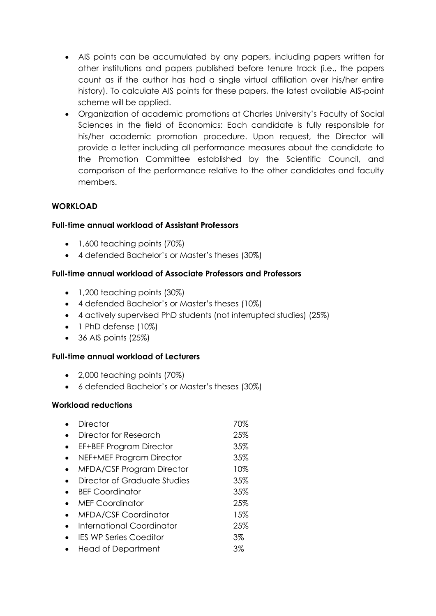- AIS points can be accumulated by any papers, including papers written for other institutions and papers published before tenure track (i.e., the papers count as if the author has had a single virtual affiliation over his/her entire history). To calculate AIS points for these papers, the latest available AIS-point scheme will be applied.
- Organization of academic promotions at Charles University's Faculty of Social Sciences in the field of Economics: Each candidate is fully responsible for his/her academic promotion procedure. Upon request, the Director will provide a letter including all performance measures about the candidate to the Promotion Committee established by the Scientific Council, and comparison of the performance relative to the other candidates and faculty members.

## **WORKLOAD**

### **Full-time annual workload of Assistant Professors**

- 1,600 teaching points (70%)
- 4 defended Bachelor's or Master's theses (30%)

### **Full-time annual workload of Associate Professors and Professors**

- 1,200 teaching points (30%)
- 4 defended Bachelor's or Master's theses (10%)
- 4 actively supervised PhD students (not interrupted studies) (25%)
- 1 PhD defense (10%)
- 36 AIS points (25%)

### **Full-time annual workload of Lecturers**

- 2,000 teaching points (70%)
- 6 defended Bachelor's or Master's theses (30%)

### **Workload reductions**

| <b>Director</b>                | 70% |
|--------------------------------|-----|
| Director for Research          | 25% |
| <b>EF+BEF Program Director</b> | 35% |
| NEF+MEF Program Director       | 35% |
| MFDA/CSF Program Director      | 10% |
| Director of Graduate Studies   | 35% |
| <b>BEF Coordinator</b>         | 35% |
| <b>MEF Coordinator</b>         | 25% |
| <b>MFDA/CSF Coordinator</b>    | 15% |
| International Coordinator      | 25% |
| <b>IES WP Series Coeditor</b>  | 3%  |
| <b>Head of Department</b>      | 3%  |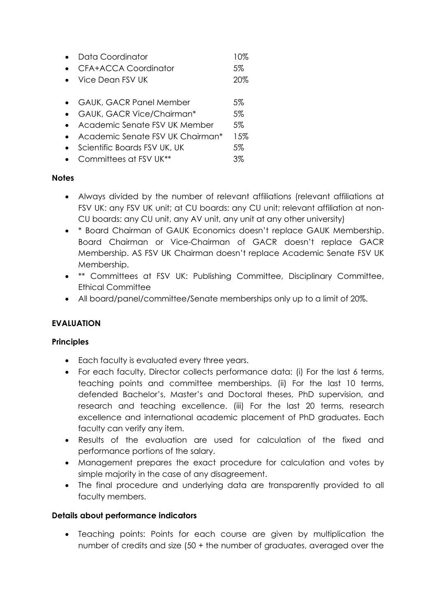| Data Coordinator                                                                                                                                            | 10%  |
|-------------------------------------------------------------------------------------------------------------------------------------------------------------|------|
| <b>CFA+ACCA Coordinator</b>                                                                                                                                 | 5%   |
| • Vice Dean FSV UK                                                                                                                                          | 20%  |
| • GAUK, GACR Panel Member                                                                                                                                   | 5%   |
| GAUK, GACR Vice/Chairman*                                                                                                                                   | 5%   |
| • Academic Senate FSV UK Member                                                                                                                             | .5%  |
| $\lambda$ is a straight for $\lambda$ and $\lambda$ in $\lambda$ in $\lambda$ in $\lambda$ in $\lambda$ in $\lambda$ in $\lambda$ in $\lambda$ in $\lambda$ | 1 FM |

- Academic Senate FSV UK Chairman\* 15%
- Scientific Boards FSV UK, UK 5%
- Committees at FSV UK\*\* 3%

## **Notes**

- Always divided by the number of relevant affiliations (relevant affiliations at FSV UK: any FSV UK unit; at CU boards: any CU unit; relevant affiliation at non-CU boards: any CU unit, any AV unit, any unit at any other university)
- \* Board Chairman of GAUK Economics doesn't replace GAUK Membership. Board Chairman or Vice-Chairman of GACR doesn't replace GACR Membership. AS FSV UK Chairman doesn't replace Academic Senate FSV UK Membership.
- \*\* Committees at FSV UK: Publishing Committee, Disciplinary Committee, Ethical Committee
- All board/panel/committee/Senate memberships only up to a limit of 20%.

## **EVALUATION**

### **Principles**

- Each faculty is evaluated every three years.
- For each faculty, Director collects performance data: (i) For the last 6 terms, teaching points and committee memberships. (ii) For the last 10 terms, defended Bachelor's, Master's and Doctoral theses, PhD supervision, and research and teaching excellence. (iii) For the last 20 terms, research excellence and international academic placement of PhD graduates. Each faculty can verify any item.
- Results of the evaluation are used for calculation of the fixed and performance portions of the salary.
- Management prepares the exact procedure for calculation and votes by simple majority in the case of any disagreement.
- The final procedure and underlying data are transparently provided to all faculty members.

## **Details about performance indicators**

• Teaching points: Points for each course are given by multiplication the number of credits and size (50 + the number of graduates, averaged over the